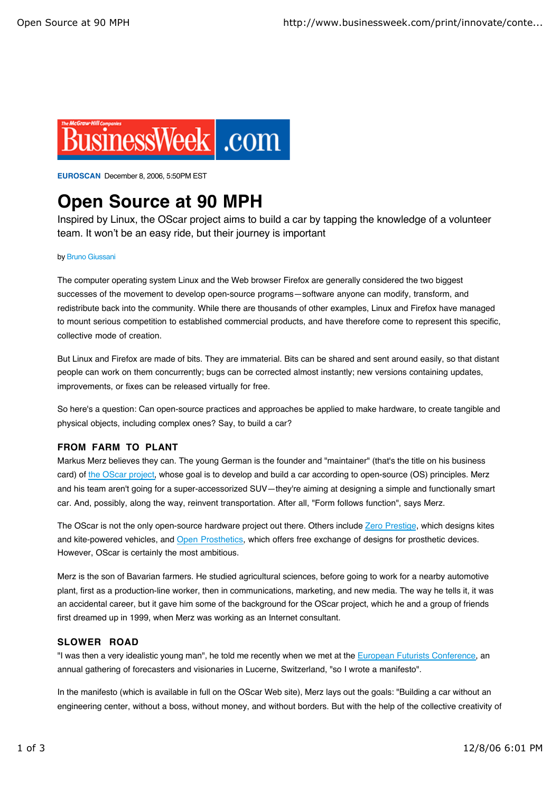

**EUROSCAN** December 8, 2006, 5:50PM EST

# **Open Source at 90 MPH**

Inspired by Linux, the OScar project aims to build a car by tapping the knowledge of a volunteer team. It won't be an easy ride, but their journey is important

#### by Bruno Giussani

The computer operating system Linux and the Web browser Firefox are generally considered the two biggest successes of the movement to develop open-source programs—software anyone can modify, transform, and redistribute back into the community. While there are thousands of other examples, Linux and Firefox have managed to mount serious competition to established commercial products, and have therefore come to represent this specific, collective mode of creation.

But Linux and Firefox are made of bits. They are immaterial. Bits can be shared and sent around easily, so that distant people can work on them concurrently; bugs can be corrected almost instantly; new versions containing updates, improvements, or fixes can be released virtually for free.

So here's a question: Can open-source practices and approaches be applied to make hardware, to create tangible and physical objects, including complex ones? Say, to build a car?

# **FROM FARM TO PLANT**

Markus Merz believes they can. The young German is the founder and "maintainer" (that's the title on his business card) of the OScar project, whose goal is to develop and build a car according to open-source (OS) principles. Merz and his team aren't going for a super-accessorized SUV—they're aiming at designing a simple and functionally smart car. And, possibly, along the way, reinvent transportation. After all, "Form follows function", says Merz.

The OScar is not the only open-source hardware project out there. Others include Zero Prestige, which designs kites and kite-powered vehicles, and Open Prosthetics, which offers free exchange of designs for prosthetic devices. However, OScar is certainly the most ambitious.

Merz is the son of Bavarian farmers. He studied agricultural sciences, before going to work for a nearby automotive plant, first as a production-line worker, then in communications, marketing, and new media. The way he tells it, it was an accidental career, but it gave him some of the background for the OScar project, which he and a group of friends first dreamed up in 1999, when Merz was working as an Internet consultant.

### **SLOWER ROAD**

"I was then a very idealistic young man", he told me recently when we met at the European Futurists Conference, an annual gathering of forecasters and visionaries in Lucerne, Switzerland, "so I wrote a manifesto".

In the manifesto (which is available in full on the OScar Web site), Merz lays out the goals: "Building a car without an engineering center, without a boss, without money, and without borders. But with the help of the collective creativity of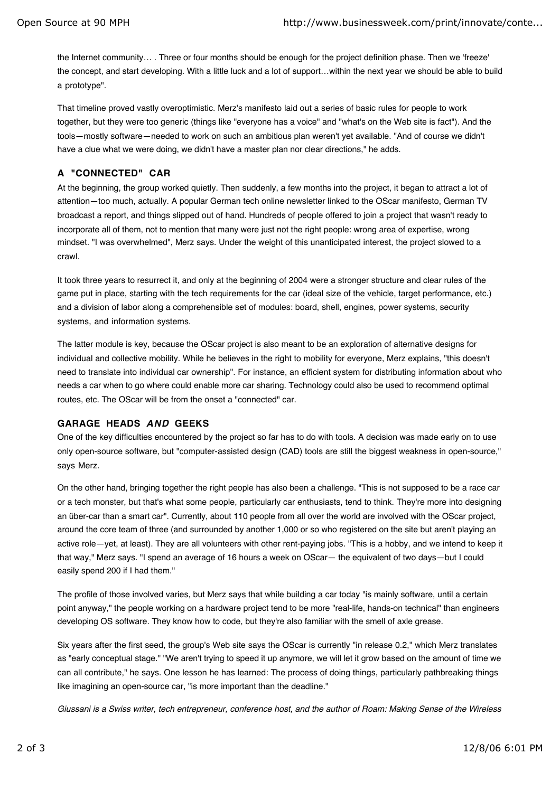the Internet community… . Three or four months should be enough for the project definition phase. Then we 'freeze' the concept, and start developing. With a little luck and a lot of support…within the next year we should be able to build a prototype".

That timeline proved vastly overoptimistic. Merz's manifesto laid out a series of basic rules for people to work together, but they were too generic (things like "everyone has a voice" and "what's on the Web site is fact"). And the tools—mostly software—needed to work on such an ambitious plan weren't yet available. "And of course we didn't have a clue what we were doing, we didn't have a master plan nor clear directions," he adds.

# **A "CONNECTED" CAR**

At the beginning, the group worked quietly. Then suddenly, a few months into the project, it began to attract a lot of attention—too much, actually. A popular German tech online newsletter linked to the OScar manifesto, German TV broadcast a report, and things slipped out of hand. Hundreds of people offered to join a project that wasn't ready to incorporate all of them, not to mention that many were just not the right people: wrong area of expertise, wrong mindset. "I was overwhelmed", Merz says. Under the weight of this unanticipated interest, the project slowed to a crawl.

It took three years to resurrect it, and only at the beginning of 2004 were a stronger structure and clear rules of the game put in place, starting with the tech requirements for the car (ideal size of the vehicle, target performance, etc.) and a division of labor along a comprehensible set of modules: board, shell, engines, power systems, security systems, and information systems.

The latter module is key, because the OScar project is also meant to be an exploration of alternative designs for individual and collective mobility. While he believes in the right to mobility for everyone, Merz explains, "this doesn't need to translate into individual car ownership". For instance, an efficient system for distributing information about who needs a car when to go where could enable more car sharing. Technology could also be used to recommend optimal routes, etc. The OScar will be from the onset a "connected" car.

### **GARAGE HEADS AND GEEKS**

One of the key difficulties encountered by the project so far has to do with tools. A decision was made early on to use only open-source software, but "computer-assisted design (CAD) tools are still the biggest weakness in open-source," says Merz.

On the other hand, bringing together the right people has also been a challenge. "This is not supposed to be a race car or a tech monster, but that's what some people, particularly car enthusiasts, tend to think. They're more into designing an über-car than a smart car". Currently, about 110 people from all over the world are involved with the OScar project, around the core team of three (and surrounded by another 1,000 or so who registered on the site but aren't playing an active role—yet, at least). They are all volunteers with other rent-paying jobs. "This is a hobby, and we intend to keep it that way," Merz says. "I spend an average of 16 hours a week on OScar— the equivalent of two days—but I could easily spend 200 if I had them."

The profile of those involved varies, but Merz says that while building a car today "is mainly software, until a certain point anyway," the people working on a hardware project tend to be more "real-life, hands-on technical" than engineers developing OS software. They know how to code, but they're also familiar with the smell of axle grease.

Six years after the first seed, the group's Web site says the OScar is currently "in release 0.2," which Merz translates as "early conceptual stage." "We aren't trying to speed it up anymore, we will let it grow based on the amount of time we can all contribute," he says. One lesson he has learned: The process of doing things, particularly pathbreaking things like imagining an open-source car, "is more important than the deadline."

Giussani is a Swiss writer, tech entrepreneur, conference host, and the author of Roam: Making Sense of the Wireless